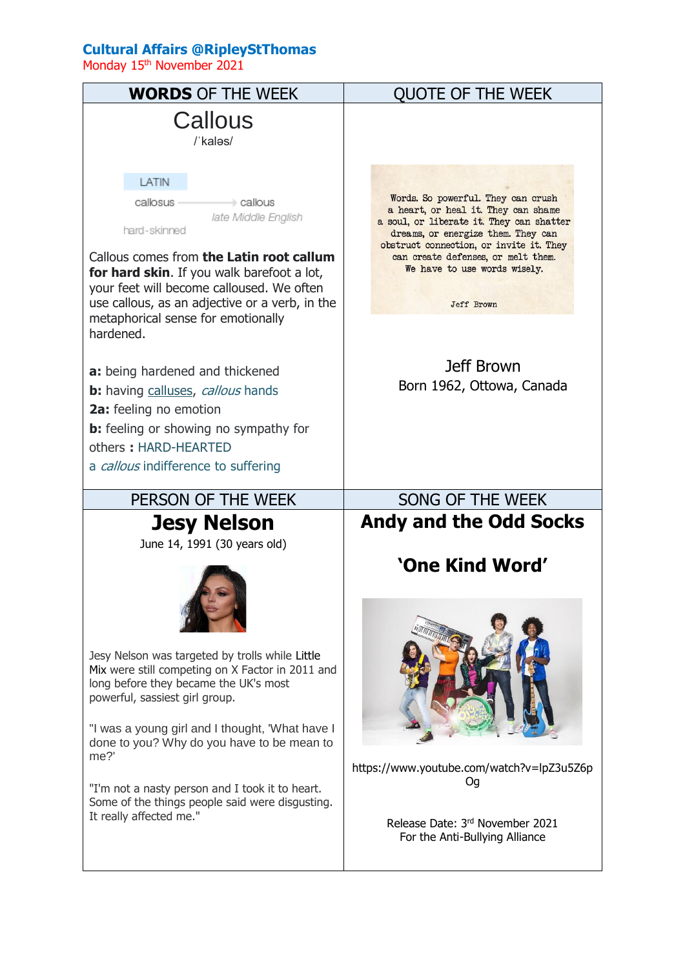## **Cultural Affairs @RipleyStThomas**

Monday 15<sup>th</sup> November 2021